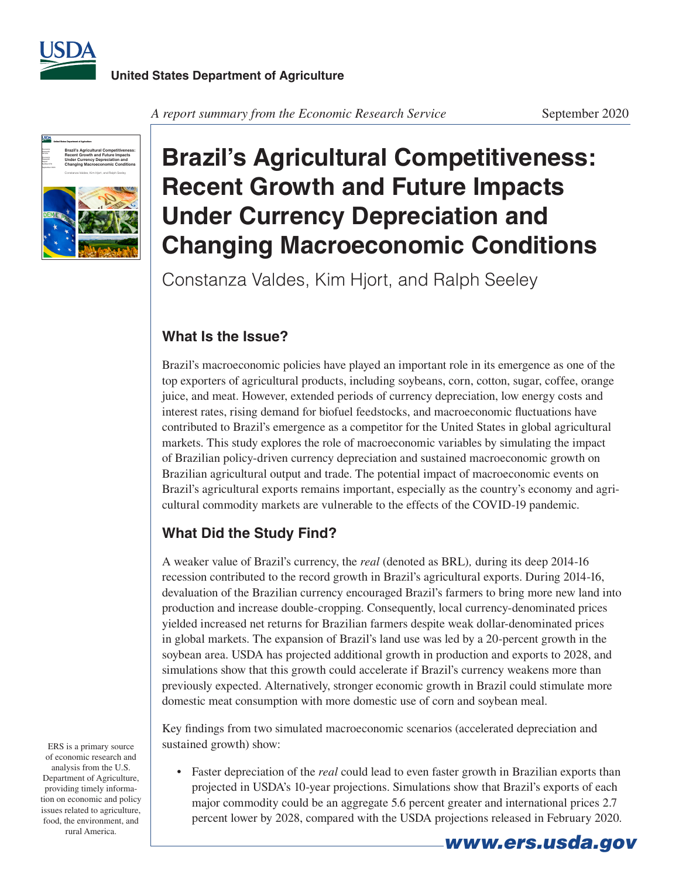



*A report summary from the Economic Research Service* September 2020

# **Brazil's Agricultural Competitiveness: Recent Growth and Future Impacts Under Currency Depreciation and Changing Macroeconomic Conditions**

Constanza Valdes, Kim Hjort, and Ralph Seeley

## **What Is the Issue?**

Brazil's macroeconomic policies have played an important role in its emergence as one of the top exporters of agricultural products, including soybeans, corn, cotton, sugar, coffee, orange juice, and meat. However, extended periods of currency depreciation, low energy costs and interest rates, rising demand for biofuel feedstocks, and macroeconomic fluctuations have contributed to Brazil's emergence as a competitor for the United States in global agricultural markets. This study explores the role of macroeconomic variables by simulating the impact of Brazilian policy-driven currency depreciation and sustained macroeconomic growth on Brazilian agricultural output and trade. The potential impact of macroeconomic events on Brazil's agricultural exports remains important, especially as the country's economy and agricultural commodity markets are vulnerable to the effects of the COVID-19 pandemic.

# **What Did the Study Find?**

A weaker value of Brazil's currency, the *real* (denoted as BRL)*,* during its deep 2014-16 recession contributed to the record growth in Brazil's agricultural exports. During 2014-16, devaluation of the Brazilian currency encouraged Brazil's farmers to bring more new land into production and increase double-cropping. Consequently, local currency-denominated prices yielded increased net returns for Brazilian farmers despite weak dollar-denominated prices in global markets. The expansion of Brazil's land use was led by a 20-percent growth in the soybean area. USDA has projected additional growth in production and exports to 2028, and simulations show that this growth could accelerate if Brazil's currency weakens more than previously expected. Alternatively, stronger economic growth in Brazil could stimulate more domestic meat consumption with more domestic use of corn and soybean meal.

Key findings from two simulated macroeconomic scenarios (accelerated depreciation and sustained growth) show:

• Faster depreciation of the *real* could lead to even faster growth in Brazilian exports than projected in USDA's 10-year projections. Simulations show that Brazil's exports of each major commodity could be an aggregate 5.6 percent greater and international prices 2.7 percent lower by 2028, compared with the USDA projections released in February 2020.

ERS is a primary source of economic research and analysis from the U.S. Department of Agriculture, providing timely information on economic and policy issues related to agriculture, food, the environment, and rural America.